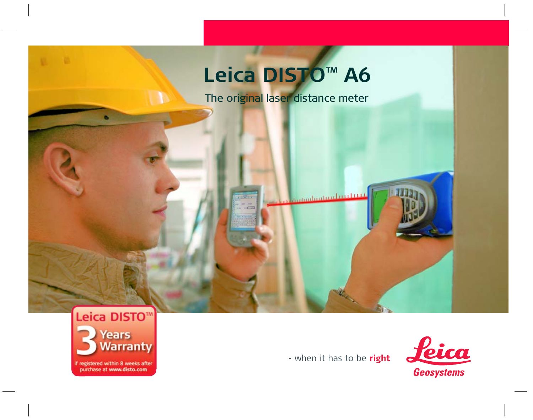# **Leica DISTO™ A6**

The original laser distance meter



if registered within 8 weeks after purchase at www.disto.com

- when it has to be right

analmatica from trials

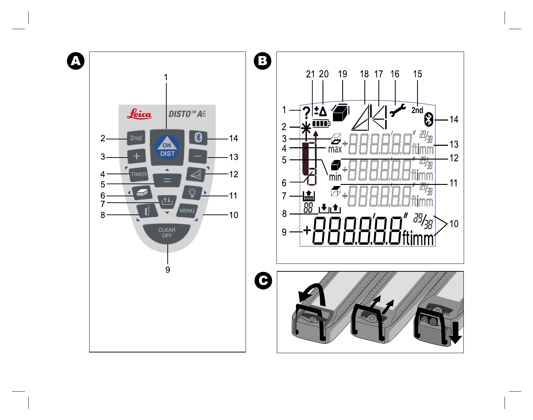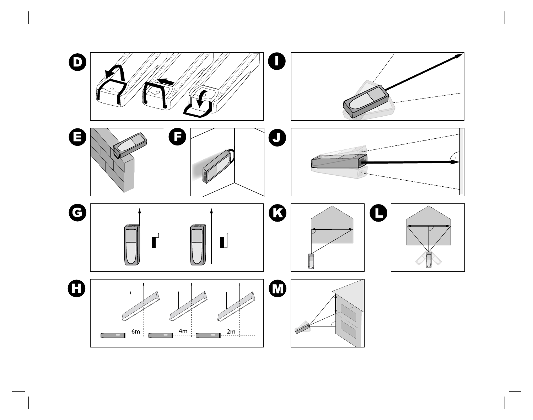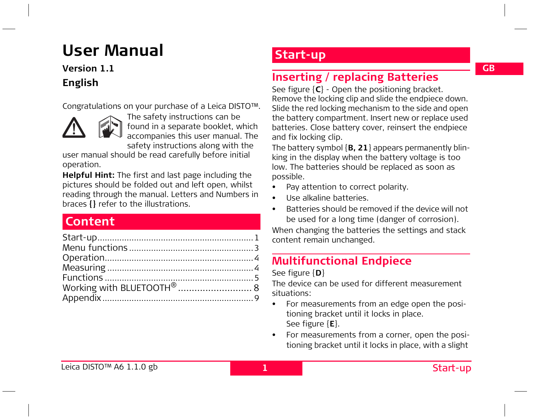## **User Manual**

### **Version 1.1**

### **English**

Congratulations on your purchase of a Leica DISTO™.



The safety instructions can be found in a separate booklet, which accompanies this user manual. The safety instructions along with the

user manual should be read carefully before initial operation.

**Helpful Hint:** The first and last page including the pictures should be folded out and left open, whilst reading through the manual. Letters and Numbers in braces **{}** refer to the illustrations.

## **Content**

### <span id="page-3-0"></span>**Start-up**

### **Inserting / replacing Batteries**

See figure {**C**} - Open the positioning bracket. Remove the locking clip and slide the endpiece down. Slide the red locking mechanism to the side and open the battery compartment. Insert new or replace used batteries. Close battery cover, reinsert the endpiece and fix locking clip.

The battery symbol {**B, 21**} appears permanently blinking in the display when the battery voltage is too low. The batteries should be replaced as soon as possible.

- Pay attention to correct polarity.
- Use alkaline batteries.
- Batteries should be removed if the device will not be used for a long time (danger of corrosion).

When changing the batteries the settings and stack content remain unchanged.

### **Multifunctional Endpiece**

See figure {**D**}

The device can be used for different measurement situations:

- For measurements from an edge open the positioning bracket until it locks in place. See figure {**E**}.
- For measurements from a corner, open the positioning bracket until it locks in place, with a slight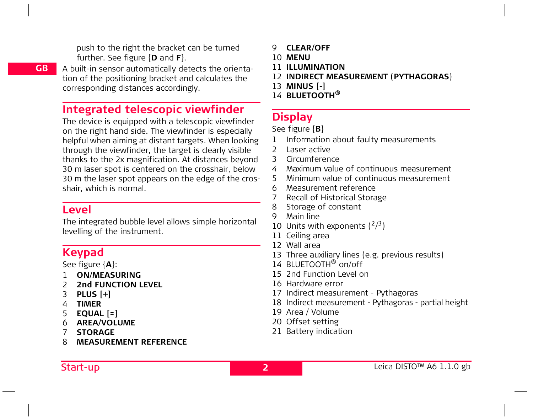push to the right the bracket can be turned further. See figure {**D** and **F**}.

A built-in sensor automatically detects the orientation of the positioning bracket and calculates the corresponding distances accordingly.

### **Integrated telescopic viewfinder**

The device is equipped with a telescopic viewfinder on the right hand side. The viewfinder is especially helpful when aiming at distant targets. When looking through the viewfinder, the target is clearly visible thanks to the 2x magnification. At distances beyond 30 m laser spot is centered on the crosshair, below 30 m the laser spot appears on the edge of the crosshair, which is normal.

#### **Level**

The integrated bubble level allows simple horizontal levelling of the instrument.

#### **Keypad**

See figure {**A**}:

- 1 **ON/MEASURING**
- 2 **2nd FUNCTION LEVEL**
- 3 **PLUS [+]**
- 4 **TIMER**
- 5 **EQUAL [=]**
- 6 **AREA/VOLUME**
- 7 **STORAGE**
- 8 **MEASUREMENT REFERENCE**
- 9 **CLEAR/OFF**
- 10 **MENU**
- 11 **ILLUMINATION**
- 12 **INDIRECT MEASUREMENT (PYTHAGORAS**)
- 13 **MINUS [-]**
- 14 **BLUETOOTH®**

### **Display**

See figure {**B**}

- 1 Information about faulty measurements
- 2 Laser active
- 3 Circumference
- 4 Maximum value of continuous measurement
- 5 Minimum value of continuous measurement
- 6 Measurement reference
- 7 Recall of Historical Storage
- 8 Storage of constant
- 9 Main line
- 10 Units with exponents  $\binom{2}{3}$
- 11 Ceiling area
- 12 Wall area
- 13 Three auxiliary lines (e.g. previous results)
- 14 BLUETOOTH<sup>®'</sup>on/off
- 15 2nd Function Level on
- 16 Hardware error
- 17 Indirect measurement Pythagoras
- 18 Indirect measurement Pythagoras partial height
- 19 Area / Volume
- 20 Offset setting
- 21 Battery indication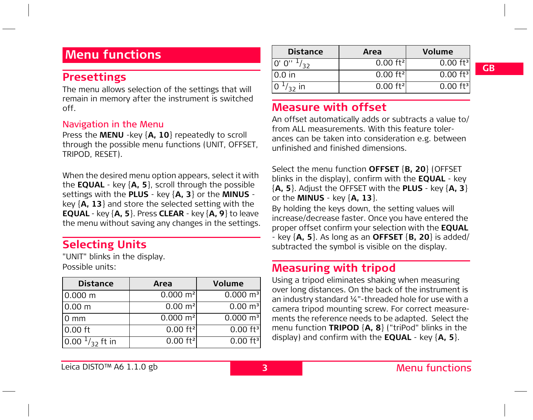### <span id="page-5-0"></span>**Menu functions**

#### **Presettings**

The menu allows selection of the settings that will remain in memory after the instrument is switched off.

#### Navigation in the Menu

Press the **MENU** -key {**A, 10**} repeatedly to scroll through the possible menu functions (UNIT, OFFSET, TRIPOD, RESET).

When the desired menu option appears, select it with the **EQUAL** - key {**A, 5**}, scroll through the possible settings with the **PLUS** - key {**A, 3**} or the **MINUS**  key {**A, 13**} and store the selected setting with the **EQUAL** - key {**A, 5**}. Press **CLEAR** - key {**A, 9**} to leave the menu without saving any changes in the settings.

### **Selecting Units**

"UNIT" blinks in the display. Possible units:

| <b>Distance</b>          | Area                   | Volume                  |
|--------------------------|------------------------|-------------------------|
| $0.000$ m                | $0.000 \; \text{m}^2$  | $0.000 \; \mathrm{m}^3$ |
| 0.00 m                   | $0.00 \; \mathrm{m}^2$ | $0.00 \; \mathrm{m}^3$  |
| $0 \text{ mm}$           | $0.000 \text{ m}^2$    | $0.000 \text{ m}^3$     |
| $0.00$ ft                | $0.00$ ft <sup>2</sup> | $0.00$ ft <sup>3</sup>  |
| $0.00 \frac{1}{3}$ ft in | $0.00$ ft <sup>2</sup> | $0.00$ ft <sup>3</sup>  |

| <b>Distance</b>       | Area                   | Volume                 |
|-----------------------|------------------------|------------------------|
| $0' 0''$ <sup>1</sup> | $0.00$ ft <sup>2</sup> | $0.00$ ft <sup>3</sup> |
| $0.0$ in              | $0.00$ ft <sup>2</sup> | $0.00$ ft <sup>3</sup> |
| $0^{1/2}$ in          | $0.00$ ft <sup>2</sup> | $0.00$ ft <sup>3</sup> |

#### **Measure with offset**

An offset automatically adds or subtracts a value to/ from ALL measurements. With this feature tolerances can be taken into consideration e.g. between unfinished and finished dimensions.

Select the menu function **OFFSET** {**B, 20**} (OFFSET blinks in the display), confirm with the **EQUAL** - key {**A, 5**}. Adjust the OFFSET with the **PLUS** - key {**A, 3**} or the **MINUS** - key {**A, 13**}.

By holding the keys down, the setting values will increase/decrease faster. Once you have entered the proper offset confirm your selection with the **EQUAL** - key {**A, 5**}. As long as an **OFFSET** {**B, 20**} is added/ subtracted the symbol is visible on the display.

#### <span id="page-5-1"></span>**Measuring with tripod**

Using a tripod eliminates shaking when measuring over long distances. On the back of the instrument is an industry standard ¼"-threaded hole for use with a camera tripod mounting screw. For correct measurements the reference needs to be adapted. Select the menu function **TRIPOD** {**A, 8**} ("triPod" blinks in the display) and confirm with the **EQUAL** - key {**A, 5**}.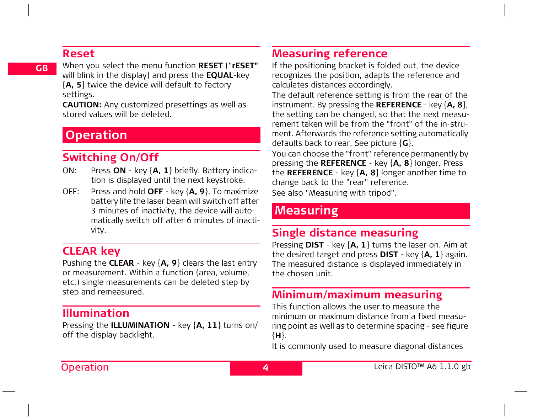#### **Reset**

**GB**

When you select the menu function **RESET** ("**rESET"** will blink in the display) and press the **EQUAL**-key {**A, 5**} twice the device will default to factory settings.

**CAUTION:** Any customized presettings as well as stored values will be deleted.

### <span id="page-6-0"></span>**Operation**

### **Switching On/Off**

- ON: Press **ON** key {**A, 1**} briefly. Battery indication is displayed until the next keystroke.
- OFF: Press and hold **OFF** key {**A, 9**}. To maximize battery life the laser beam will switch off after 3 minutes of inactivity, the device will automatically switch off after 6 minutes of inactivity.

### **CLEAR key**

Pushing the **CLEAR** - key {**A, 9**} clears the last entry or measurement. Within a function (area, volume, etc.) single measurements can be deleted step by step and remeasured.

### **Illumination**

Pressing the **ILLUMINATION** - key {**A, 11**} turns on/ off the display backlight.

#### **Measuring reference**

If the positioning bracket is folded out, the device recognizes the position, adapts the reference and calculates distances accordingly.

The default reference setting is from the rear of the instrument. By pressing the **REFERENCE** - key {**A, 8**}, the setting can be changed, so that the next measurement taken will be from the "front" of the in-strument. Afterwards the reference setting automatically defaults back to rear. See picture {**G**}.

You can choose the "front" reference permanently by pressing the **REFERENCE** - key {**A, 8**} longer. Press the **REFERENCE** - key {**A, 8**} longer another time to change back to the "rear" reference. See also "[Measuring with tripod](#page-5-1)".

### <span id="page-6-1"></span>**Measuring**

### **Single distance measuring**

Pressing **DIST** - key {**A, 1**} turns the laser on. Aim at the desired target and press **DIST** - key {**A, 1**} again. The measured distance is displayed immediately in the chosen unit.

### <span id="page-6-2"></span>**Minimum/maximum measuring**

This function allows the user to measure the minimum or maximum distance from a fixed measuring point as well as to determine spacing - see figure {**H**}.

It is commonly used to measure diagonal distances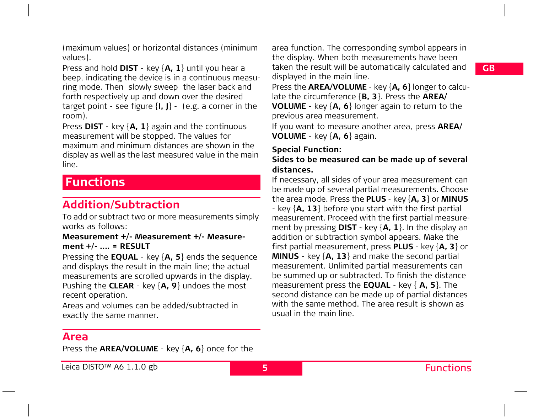(maximum values) or horizontal distances (minimum values).

Press and hold **DIST** - key {**A, 1**} until you hear a beep, indicating the device is in a continuous measuring mode. Then slowly sweep the laser back and forth respectively up and down over the desired target point - see figure {**I, J**} - (e.g. a corner in the room).

Press **DIST** - key {**A, 1**} again and the continuous measurement will be stopped. The values for maximum and minimum distances are shown in the display as well as the last measured value in the main line.

### <span id="page-7-0"></span>**Functions**

### **Addition/Subtraction**

To add or subtract two or more measurements simply works as follows:

#### **Measurement +/- Measurement +/- Measurement +/- …. = RESULT**

Pressing the **EQUAL** - key {**A, 5**} ends the sequence and displays the result in the main line; the actual measurements are scrolled upwards in the display. Pushing the **CLEAR** - key {**A, 9**} undoes the most recent operation.

Areas and volumes can be added/subtracted in exactly the same manner.

area function. The corresponding symbol appears in the display. When both measurements have been taken the result will be automatically calculated and displayed in the main line.

Press the **AREA/VOLUME** - key {**A, 6**} longer to calculate the circumference {**B, 3**}. Press the **AREA/ VOLUME** - key {**A, 6**} longer again to return to the previous area measurement.

If you want to measure another area, press **AREA/ VOLUME** - key {**A, 6**} again.

#### **Special Function:**

#### **Sides to be measured can be made up of several distances.**

If necessary, all sides of your area measurement can be made up of several partial measurements. Choose the area mode. Press the **PLUS** - key {**A, 3**} or **MINUS** - key {**A, 13**} before you start with the first partial measurement. Proceed with the first partial measurement by pressing **DIST** - key {**A, 1**}. In the display an addition or subtraction symbol appears. Make the first partial measurement, press **PLUS** - key {**A, 3**} or **MINUS** - key {**A, 13**} and make the second partial measurement. Unlimited partial measurements can be summed up or subtracted. To finish the distance measurement press the **EQUAL** - key { **A, 5**}. The second distance can be made up of partial distances with the same method. The area result is shown as usual in the main line.

#### **Area**

Press the **AREA/VOLUME** - key {**A, 6**} once for the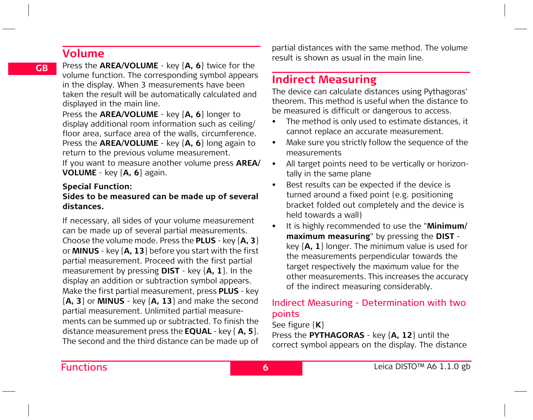#### **GB Volume**

Press the **AREA/VOLUME** - key {**A, 6**} twice for the volume function. The corresponding symbol appears in the display. When 3 measurements have been taken the result will be automatically calculated and displayed in the main line.

Press the **AREA/VOLUME** - key {**A, 6**} longer to display additional room information such as ceiling/ floor area, surface area of the walls, circumference. Press the **AREA/VOLUME** - key {**A, 6**} long again to return to the previous volume measurement.

If you want to measure another volume press **AREA/ VOLUME** - key {**A, 6**} again.

#### **Special Function:**

#### **Sides to be measured can be made up of several distances.**

If necessary, all sides of your volume measurement can be made up of several partial measurements. Choose the volume mode. Press the **PLUS** - key {**A, 3**} or **MINUS** - key {**A, 13**} before you start with the first partial measurement. Proceed with the first partial measurement by pressing **DIST** - key {**A, 1**}. In the display an addition or subtraction symbol appears. Make the first partial measurement, press **PLUS** - key {**A, 3**} or **MINUS** - key {**A, 13**} and make the second partial measurement. Unlimited partial measurements can be summed up or subtracted. To finish the distance measurement press the **EQUAL** - key { **A, 5**}. The second and the third distance can be made up of

partial distances with the same method. The volume result is shown as usual in the main line.

### **Indirect Measuring**

The device can calculate distances using Pythagoras' theorem. This method is useful when the distance to be measured is difficult or dangerous to access.

- The method is only used to estimate distances, it cannot replace an accurate measurement.
- Make sure you strictly follow the sequence of the measurements
- All target points need to be vertically or horizontally in the same plane
- Best results can be expected if the device is turned around a fixed point (e.g. positioning bracket folded out completely and the device is held towards a wall)
- It is highly recommended to use the "**[Minimum/](#page-6-2) [maximum measuring](#page-6-2)**" by pressing the **DIST** key {**A, 1**} longer. The minimum value is used for the measurements perpendicular towards the target respectively the maximum value for the other measurements. This increases the accuracy of the indirect measuring considerably.

#### Indirect Measuring - Determination with two points

#### See figure {**K**}

Press the **PYTHAGORAS** - key {**A, 12**} until the correct symbol appears on the display. The distance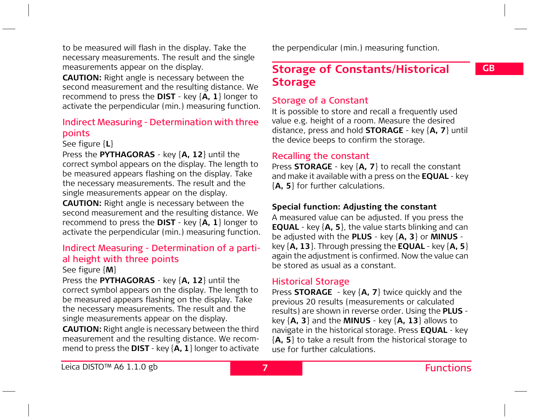to be measured will flash in the display. Take the necessary measurements. The result and the single measurements appear on the display.

**CAUTION:** Right angle is necessary between the second measurement and the resulting distance. We recommend to press the **DIST** - key {**A, 1**} longer to activate the perpendicular (min.) measuring function.

#### Indirect Measuring - Determination with three points

#### See figure {**L**}

Press the **PYTHAGORAS** - key {**A, 12**} until the correct symbol appears on the display. The length to be measured appears flashing on the display. Take the necessary measurements. The result and the single measurements appear on the display.

**CAUTION:** Right angle is necessary between the second measurement and the resulting distance. We recommend to press the **DIST** - key {**A, 1**} longer to activate the perpendicular (min.) measuring function.

#### Indirect Measuring - Determination of a partial height with three points

#### See figure {**M**}

Press the **PYTHAGORAS** - key {**A, 12**} until the correct symbol appears on the display. The length to be measured appears flashing on the display. Take the necessary measurements. The result and the single measurements appear on the display.

**CAUTION:** Right angle is necessary between the third measurement and the resulting distance. We recommend to press the **DIST** - key {**A, 1**} longer to activate the perpendicular (min.) measuring function.

### **Storage of Constants/Historical Storage**

#### Storage of a Constant

It is possible to store and recall a frequently used value e.g. height of a room. Measure the desired distance, press and hold **STORAGE** - key {**A, 7**} until the device beeps to confirm the storage.

#### Recalling the constant

Press **STORAGE** - key {**A, 7**} to recall the constant and make it available with a press on the **EQUAL** - key {**A, 5**} for further calculations.

#### **Special function: Adjusting the constant**

A measured value can be adjusted. If you press the **EQUAL** - key {**A, 5**}, the value starts blinking and can be adjusted with the **PLUS** - key {**A, 3**} or **MINUS** key {**A, 13**}. Through pressing the **EQUAL** - key {**A, 5**} again the adjustment is confirmed. Now the value can be stored as usual as a constant.

#### Historical Storage

Press **STORAGE** - key {**A, 7**} twice quickly and the previous 20 results (measurements or calculated results) are shown in reverse order. Using the **PLUS** key {**A, 3**} and the **MINUS** - key {**A, 13**} allows to navigate in the historical storage. Press **EQUAL** - key {**A, 5**} to take a result from the historical storage to use for further calculations.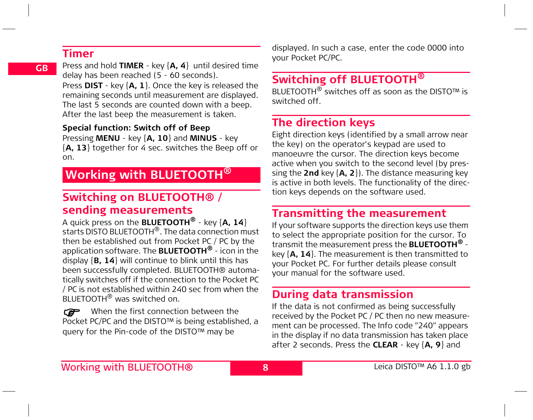#### **Timer**

**GB**

Press and hold **TIMER** - key {**A, 4**} until desired time delay has been reached (5 - 60 seconds). Press **DIST** - key {**A, 1**}. Once the key is released the remaining seconds until measurement are displayed. The last 5 seconds are counted down with a beep. After the last beep the measurement is taken.

**Special function: Switch off of Beep** Pressing **MENU** - key {**A, 10**} and **MINUS** - key {**A, 13**} together for 4 sec. switches the Beep off or on.

### **Working with BLUETOOTH®**

### **Switching on BLUETOOTH® / sending measurements**

A quick press on the **BLUETOOTH®** - key {**A, 14**} starts DISTO BLUETOOTH®. The data connection must then be established out from Pocket PC / PC by the application software. The **BLUETOOTH®** - icon in the display {**B, 14**} will continue to blink until this has been successfully completed. BLUETOOTH® automatically switches off if the connection to the Pocket PC / PC is not established within 240 sec from when the BLUETOOTH® was switched on.

G When the first connection between the<br>Pocket PC/PC and the DISTO™ is being established, a query for the Pin-code of the DISTO™ may be

displayed. In such a case, enter the code 0000 into your Pocket PC/PC.

### **Switching off BLUETOOTH®**

BLUETOOTH® switches off as soon as the DISTO™ is switched off.

### **The direction keys**

Eight direction keys (identified by a small arrow near the key) on the operator's keypad are used to manoeuvre the cursor. The direction keys become active when you switch to the second level (by pressing the **2nd** key {**A, 2**}). The distance measuring key is active in both levels. The functionality of the direction keys depends on the software used.

### **Transmitting the measurement**

If your software supports the direction keys use them to select the appropriate position for the cursor. To transmit the measurement press the **BLUETOOTH®** key {**A, 14**}. The measurement is then transmitted to your Pocket PC. For further details please consult your manual for the software used.

### **During data transmission**

If the data is not confirmed as being successfully received by the Pocket PC / PC then no new measurement can be processed. The Info code "240" appears in the display if no data transmission has taken place after 2 seconds. Press the **CLEAR** - key {**A, 9**} and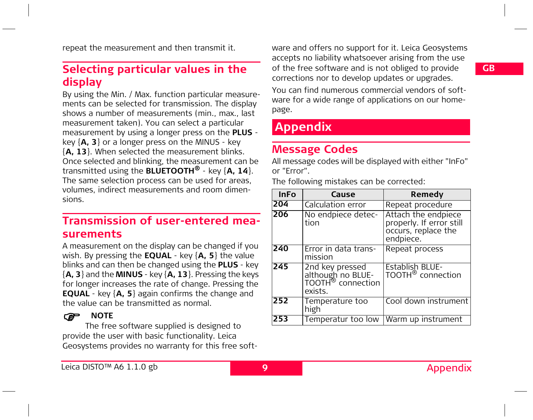repeat the measurement and then transmit it.

### **Selecting particular values in the display**

By using the Min. / Max. function particular measurements can be selected for transmission. The display shows a number of measurements (min., max., last measurement taken). You can select a particular measurement by using a longer press on the **PLUS** key {**A, 3**} or a longer press on the MINUS - key {**A, 13**}. When selected the measurement blinks. Once selected and blinking, the measurement can be transmitted using the **BLUETOOTH®** - key {**A, 14**}. The same selection process can be used for areas, volumes, indirect measurements and room dimensions.

#### **Transmission of user-entered measurements**

A measurement on the display can be changed if you wish. By pressing the **EQUAL** - key {**A, 5**} the value blinks and can then be changed using the **PLUS** - key {**A, 3**} and the **MINUS** - key {**A, 13**}. Pressing the keys for longer increases the rate of change. Pressing the **EQUAL** - key {**A, 5**} again confirms the change and the value can be transmitted as normal.

) **NOTE** The free software supplied is designed to provide the user with basic functionality. Leica Geosystems provides no warranty for this free software and offers no support for it. Leica Geosystems accepts no liability whatsoever arising from the use of the free software and is not obliged to provide corrections nor to develop updates or upgrades.

You can find numerous commercial vendors of software for a wide range of applications on our homepage.

### <span id="page-11-0"></span>**Appendix**

### **Message Codes**

All message codes will be displayed with either "InFo" or "Error".

The following mistakes can be corrected:

| <b>InFo</b> | Cause                                                                            | Remedy                                                                              |
|-------------|----------------------------------------------------------------------------------|-------------------------------------------------------------------------------------|
| <b>204</b>  | Calculation error                                                                | Repeat procedure                                                                    |
| 206         | No endpiece detec-<br>tion                                                       | Attach the endpiece<br>properly. If error still<br>occurs, replace the<br>endpiece. |
| 240         | Error in data trans-<br>mission                                                  | Repeat process                                                                      |
| 245         | 2nd key pressed<br>although no BLUE-<br>TOOTH <sup>®</sup> connection<br>exists. | Establish BLUE-<br>TOOTH <sup>®</sup> connection                                    |
| 252         | Temperature too<br>high                                                          | Cool down instrument                                                                |
| 1253        |                                                                                  | Temperatur too low Warm up instrument                                               |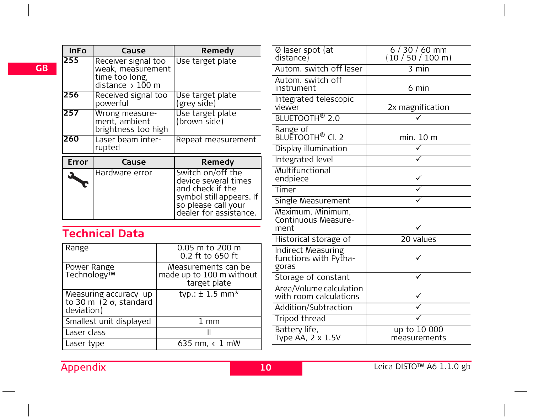| <b>InFo</b>                | Cause                                    |                        | Remedy                                          | 0 laser spot (at<br>distance)                |
|----------------------------|------------------------------------------|------------------------|-------------------------------------------------|----------------------------------------------|
| 255                        | Receiver signal too<br>weak, measurement |                        | Use target plate                                | Autom, switch o                              |
|                            | time too long,<br>distance $>100$ m      |                        |                                                 | Autom. switch o<br>instrument                |
| 256                        | Received signal too<br>powerful          |                        | Use target plate<br>(grey side)                 | Integrated teles<br>viewer                   |
| 257                        | Wrong measure-<br>ment. ambient          |                        | Use target plate<br>(brown side)                | BLUETOOTH <sup>®</sup> 2.                    |
| 260                        | brightness too high<br>Laser beam inter- |                        | Repeat measurement                              | Range of<br>BLUETOOTH® CI.                   |
|                            | rupted                                   |                        |                                                 | Display illuminat                            |
| Error                      | Cause                                    |                        | Remedy                                          | Integrated level                             |
|                            | Hardware error                           |                        | Switch on/off the<br>device several times       | Multifunctional<br>endpiece                  |
|                            |                                          |                        | and check if the                                | Timer                                        |
|                            |                                          |                        | symbol still appears. If<br>so please call your | Single Measurem                              |
|                            |                                          |                        | dealer for assistance.                          | Maximum, Minim<br>Continuous Meas<br>ment    |
|                            | <b>Technical Data</b>                    |                        |                                                 | Historical storag                            |
| Range                      |                                          |                        | $0.05$ m to 200 m<br>0.2 ft to 650 ft           | <b>Indirect Measurir</b><br>functions with P |
| Power Range<br>Technology™ |                                          |                        | Measurements can be<br>made up to 100 m without | goras<br>Storage of const                    |
|                            | Measuring accuracy up                    |                        | target plate<br>typ.: $\pm$ 1.5 mm*             | Area/Volume calo<br>with room calcul         |
| deviation)                 | to 30 m $(2 \sigma,$ standard            |                        |                                                 | Addition/Subtrad                             |
| Smallest unit displayed    |                                          | $1 \text{ mm}$         | Tripod thread                                   |                                              |
| Laser class                |                                          | $\mathsf{II}$          | Battery life,                                   |                                              |
| Laser type                 |                                          | 635 nm, $\langle$ 1 mW | Type AA, 2 x 1.5                                |                                              |

| 0 laser spot (at<br>distance)                        | $6/30/60$ mm<br>(10/50/100 m) |
|------------------------------------------------------|-------------------------------|
| Autom, switch off laser                              | 3 min                         |
| Autom, switch off<br>instrument                      | 6 min                         |
| Integrated telescopic<br>viewer                      | 2x magnification              |
| BLUETOOTH <sup>®</sup> 2.0                           |                               |
| Range of<br>BLUETOOTH® Cl. 2                         | min. 10 m                     |
| Display illumination                                 |                               |
| Integrated level                                     |                               |
| Multifunctional<br>endpiece                          |                               |
| Timer                                                |                               |
| Single Measurement                                   |                               |
| Maximum, Minimum,<br>Continuous Measure-<br>ment     |                               |
| Historical storage of                                | 20 values                     |
| Indirect Measuring<br>functions with Pytha-<br>goras |                               |
| Storage of constant                                  |                               |
| Area/Volume calculation<br>with room calculations    |                               |
| Addition/Subtraction                                 |                               |
| Tripod thread                                        |                               |
| Battery life,<br>Type AA, $2 \times 1.5V$            | up to 10 000<br>measurements  |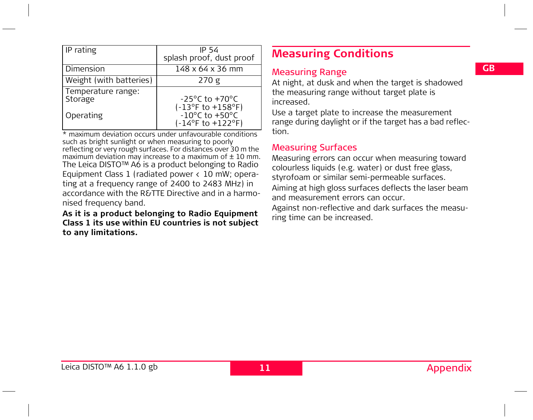| IP rating                                  | IP 54<br>splash proof, dust proof                                                                                                                      |
|--------------------------------------------|--------------------------------------------------------------------------------------------------------------------------------------------------------|
| Dimension                                  | 148 x 64 x 36 mm                                                                                                                                       |
| Weight (with batteries)                    | 270 g                                                                                                                                                  |
| Temperature range:<br>Storage<br>Operating | $-25^{\circ}$ C to $+70^{\circ}$ C<br>$(-13^{\circ}F to +158^{\circ}F)$<br>$-10^{\circ}$ C to $+50^{\circ}$ C<br>$(-14^{\circ}$ F to $+122^{\circ}$ F) |

\* maximum deviation occurs under unfavourable conditions such as bright sunlight or when measuring to poorly reflecting or very rough surfaces. For distances over 30 m the maximum deviation may increase to a maximum of  $\pm$  10 mm. The Leica DISTO™ A6 is a product belonging to Radio Equipment Class 1 (radiated power < 10 mW; operating at a frequency range of 2400 to 2483 MHz) in accordance with the R&TTE Directive and in a harmonised frequency band.

#### **As it is a product belonging to Radio Equipment Class 1 its use within EU countries is not subject to any limitations.**

### **Measuring Conditions**

#### Measuring Range

At night, at dusk and when the target is shadowed the measuring range without target plate is increased.

Use a target plate to increase the measurement range during daylight or if the target has a bad reflection.

#### Measuring Surfaces

Measuring errors can occur when measuring toward colourless liquids (e.g. water) or dust free glass, styrofoam or similar semi-permeable surfaces. Aiming at high gloss surfaces deflects the laser beam and measurement errors can occur. Against non-reflective and dark surfaces the measu-

ring time can be increased.

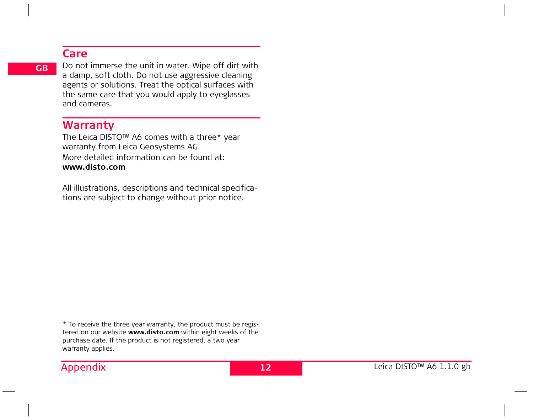#### **Care**

**GB**

Do not immerse the unit in water. Wipe off dirt with a damp, soft cloth. Do not use aggressive cleaning agents or solutions. Treat the optical surfaces with the same care that you would apply to eyeglasses and cameras.

#### **Warranty**

The Leica DISTO™ A6 comes with a three\* year warranty from Leica Geosystems AG. More detailed information can be found at: **www.disto.com**

All illustrations, descriptions and technical specifications are subject to change without prior notice.

\* To receive the three year warranty, the product must be registered on our website **www.disto.com** within eight weeks of the purchase date. If the product is not registered, a two year warranty applies.